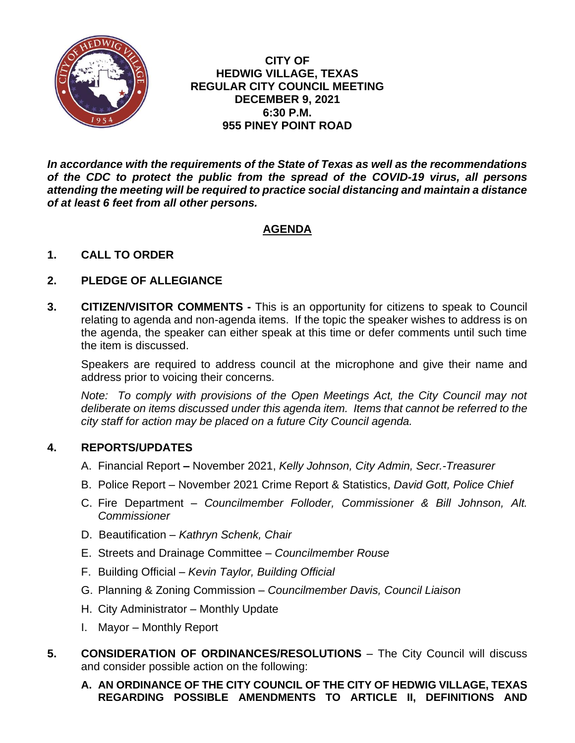

**CITY OF HEDWIG VILLAGE, TEXAS REGULAR CITY COUNCIL MEETING DECEMBER 9, 2021 6:30 P.M. 955 PINEY POINT ROAD**

*In accordance with the requirements of the State of Texas as well as the recommendations of the CDC to protect the public from the spread of the COVID-19 virus, all persons attending the meeting will be required to practice social distancing and maintain a distance of at least 6 feet from all other persons.*

# **AGENDA**

## **1. CALL TO ORDER**

## **2. PLEDGE OF ALLEGIANCE**

**3. CITIZEN/VISITOR COMMENTS -** This is an opportunity for citizens to speak to Council relating to agenda and non-agenda items. If the topic the speaker wishes to address is on the agenda, the speaker can either speak at this time or defer comments until such time the item is discussed.

Speakers are required to address council at the microphone and give their name and address prior to voicing their concerns.

*Note: To comply with provisions of the Open Meetings Act, the City Council may not deliberate on items discussed under this agenda item. Items that cannot be referred to the city staff for action may be placed on a future City Council agenda.*

### **4. REPORTS/UPDATES**

- A. Financial Report **–** November 2021, *Kelly Johnson, City Admin, Secr.-Treasurer*
- B. Police Report November 2021 Crime Report & Statistics, *David Gott, Police Chief*
- C. Fire Department *Councilmember Folloder, Commissioner & Bill Johnson, Alt. Commissioner*
- D. Beautification *Kathryn Schenk, Chair*
- E. Streets and Drainage Committee *Councilmember Rouse*
- F. Building Official *Kevin Taylor, Building Official*
- G. Planning & Zoning Commission *Councilmember Davis, Council Liaison*
- H. City Administrator Monthly Update
- I. Mayor Monthly Report
- **5. CONSIDERATION OF ORDINANCES/RESOLUTIONS** The City Council will discuss and consider possible action on the following:
	- **A. AN ORDINANCE OF THE CITY COUNCIL OF THE CITY OF HEDWIG VILLAGE, TEXAS REGARDING POSSIBLE AMENDMENTS TO ARTICLE II, DEFINITIONS AND**